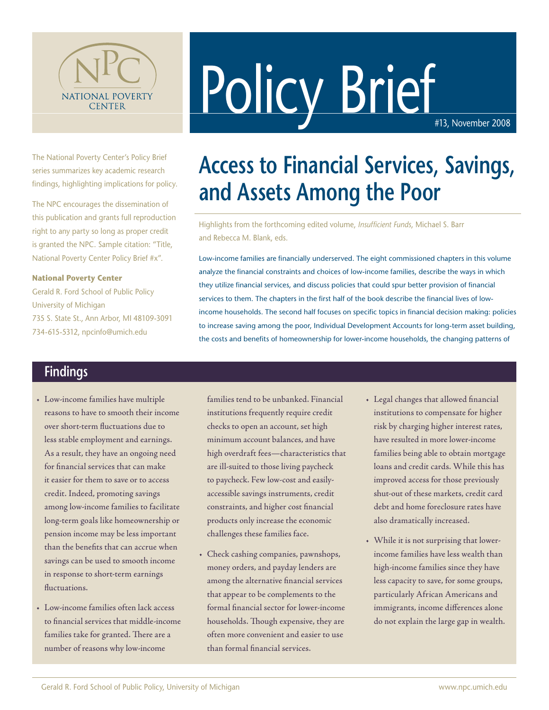

# Policy Brief

The National Poverty Center's Policy Brief series summarizes key academic research findings, highlighting implications for policy.

The NPC encourages the dissemination of this publication and grants full reproduction right to any party so long as proper credit is granted the NPC. Sample citation: "Title, National Poverty Center Policy Brief #x".

#### **National Poverty Center**

Gerald R. Ford School of Public Policy University of Michigan 735 S. State St., Ann Arbor, MI 48109-3091 734-615-5312, npcinfo@umich.edu

## **Access to Financial Services, Savings, and Assets Among the Poor**

Highlights from the forthcoming edited volume, *Insufficient Funds*, Michael S. Barr and Rebecca M. Blank, eds.

Low-income families are financially underserved. The eight commissioned chapters in this volume analyze the financial constraints and choices of low-income families, describe the ways in which they utilize financial services, and discuss policies that could spur better provision of financial services to them. The chapters in the first half of the book describe the financial lives of lowincome households. The second half focuses on specific topics in financial decision making: policies to increase saving among the poor, Individual Development Accounts for long-term asset building, the costs and benefits of homeownership for lower-income households, the changing patterns of

#### **Findings**

- • Low-income families have multiple reasons to have to smooth their income over short-term fluctuations due to less stable employment and earnings. As a result, they have an ongoing need for financial services that can make it easier for them to save or to access credit. Indeed, promoting savings among low-income families to facilitate long-term goals like homeownership or pension income may be less important than the benefits that can accrue when savings can be used to smooth income in response to short-term earnings fluctuations.
- • Low-income families often lack access to financial services that middle-income families take for granted. There are a number of reasons why low-income

families tend to be unbanked. Financial institutions frequently require credit checks to open an account, set high minimum account balances, and have high overdraft fees—characteristics that are ill-suited to those living paycheck to paycheck. Few low-cost and easilyaccessible savings instruments, credit constraints, and higher cost financial products only increase the economic challenges these families face.

- • Check cashing companies, pawnshops, money orders, and payday lenders are among the alternative financial services that appear to be complements to the formal financial sector for lower-income households. Though expensive, they are often more convenient and easier to use than formal financial services.
- • Legal changes that allowed financial institutions to compensate for higher risk by charging higher interest rates, have resulted in more lower-income families being able to obtain mortgage loans and credit cards. While this has improved access for those previously shut-out of these markets, credit card debt and home foreclosure rates have also dramatically increased.
- • While it is not surprising that lowerincome families have less wealth than high-income families since they have less capacity to save, for some groups, particularly African Americans and immigrants, income differences alone do not explain the large gap in wealth.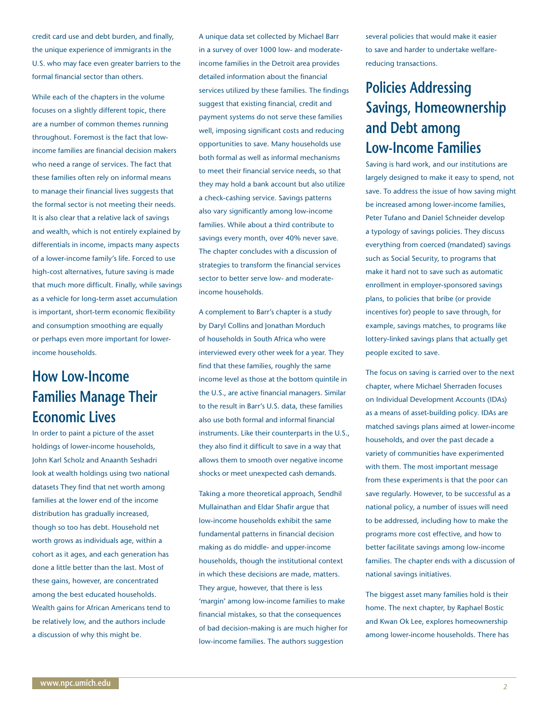credit card use and debt burden, and finally, the unique experience of immigrants in the U.S. who may face even greater barriers to the formal financial sector than others.

While each of the chapters in the volume focuses on a slightly different topic, there are a number of common themes running throughout. Foremost is the fact that lowincome families are financial decision makers who need a range of services. The fact that these families often rely on informal means to manage their financial lives suggests that the formal sector is not meeting their needs. It is also clear that a relative lack of savings and wealth, which is not entirely explained by differentials in income, impacts many aspects of a lower-income family's life. Forced to use high-cost alternatives, future saving is made that much more difficult. Finally, while savings as a vehicle for long-term asset accumulation is important, short-term economic flexibility and consumption smoothing are equally or perhaps even more important for lowerincome households.

#### **How Low-Income Families Manage Their Economic Lives**

In order to paint a picture of the asset holdings of lower-income households, John Karl Scholz and Anaanth Seshadri look at wealth holdings using two national datasets They find that net worth among families at the lower end of the income distribution has gradually increased, though so too has debt. Household net worth grows as individuals age, within a cohort as it ages, and each generation has done a little better than the last. Most of these gains, however, are concentrated among the best educated households. Wealth gains for African Americans tend to be relatively low, and the authors include a discussion of why this might be.

A unique data set collected by Michael Barr in a survey of over 1000 low- and moderateincome families in the Detroit area provides detailed information about the financial services utilized by these families. The findings suggest that existing financial, credit and payment systems do not serve these families well, imposing significant costs and reducing opportunities to save. Many households use both formal as well as informal mechanisms to meet their financial service needs, so that they may hold a bank account but also utilize a check-cashing service. Savings patterns also vary significantly among low-income families. While about a third contribute to savings every month, over 40% never save. The chapter concludes with a discussion of strategies to transform the financial services sector to better serve low- and moderateincome households.

A complement to Barr's chapter is a study by Daryl Collins and Jonathan Morduch of households in South Africa who were interviewed every other week for a year. They find that these families, roughly the same income level as those at the bottom quintile in the U.S., are active financial managers. Similar to the result in Barr's U.S. data, these families also use both formal and informal financial instruments. Like their counterparts in the U.S., they also find it difficult to save in a way that allows them to smooth over negative income shocks or meet unexpected cash demands.

Taking a more theoretical approach, Sendhil Mullainathan and Eldar Shafir argue that low-income households exhibit the same fundamental patterns in financial decision making as do middle- and upper-income households, though the institutional context in which these decisions are made, matters. They argue, however, that there is less 'margin' among low-income families to make financial mistakes, so that the consequences of bad decision-making is are much higher for low-income families. The authors suggestion

several policies that would make it easier to save and harder to undertake welfarereducing transactions.

### **Policies Addressing Savings, Homeownership and Debt among Low-Income Families**

Saving is hard work, and our institutions are largely designed to make it easy to spend, not save. To address the issue of how saving might be increased among lower-income families, Peter Tufano and Daniel Schneider develop a typology of savings policies. They discuss everything from coerced (mandated) savings such as Social Security, to programs that make it hard not to save such as automatic enrollment in employer-sponsored savings plans, to policies that bribe (or provide incentives for) people to save through, for example, savings matches, to programs like lottery-linked savings plans that actually get people excited to save.

The focus on saving is carried over to the next chapter, where Michael Sherraden focuses on Individual Development Accounts (IDAs) as a means of asset-building policy. IDAs are matched savings plans aimed at lower-income households, and over the past decade a variety of communities have experimented with them. The most important message from these experiments is that the poor can save regularly. However, to be successful as a national policy, a number of issues will need to be addressed, including how to make the programs more cost effective, and how to better facilitate savings among low-income families. The chapter ends with a discussion of national savings initiatives.

The biggest asset many families hold is their home. The next chapter, by Raphael Bostic and Kwan Ok Lee, explores homeownership among lower-income households. There has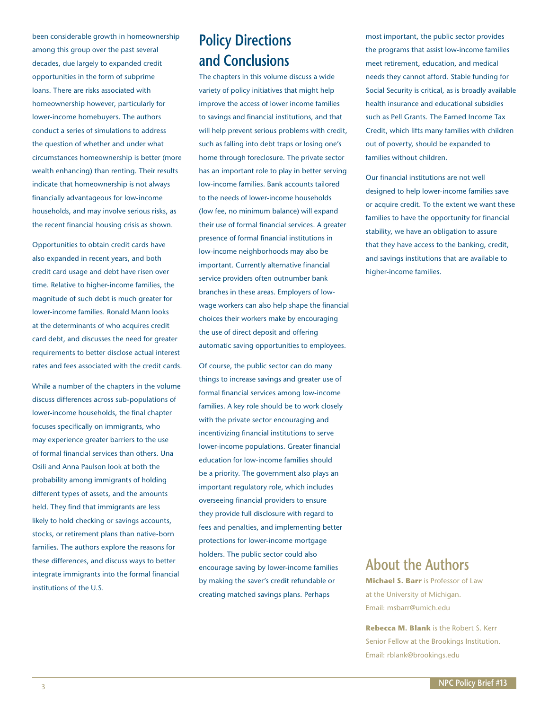been considerable growth in homeownership among this group over the past several decades, due largely to expanded credit opportunities in the form of subprime loans. There are risks associated with homeownership however, particularly for lower-income homebuyers. The authors conduct a series of simulations to address the question of whether and under what circumstances homeownership is better (more wealth enhancing) than renting. Their results indicate that homeownership is not always financially advantageous for low-income households, and may involve serious risks, as the recent financial housing crisis as shown.

Opportunities to obtain credit cards have also expanded in recent years, and both credit card usage and debt have risen over time. Relative to higher-income families, the magnitude of such debt is much greater for lower-income families. Ronald Mann looks at the determinants of who acquires credit card debt, and discusses the need for greater requirements to better disclose actual interest rates and fees associated with the credit cards.

While a number of the chapters in the volume discuss differences across sub-populations of lower-income households, the final chapter focuses specifically on immigrants, who may experience greater barriers to the use of formal financial services than others. Una Osili and Anna Paulson look at both the probability among immigrants of holding different types of assets, and the amounts held. They find that immigrants are less likely to hold checking or savings accounts, stocks, or retirement plans than native-born families. The authors explore the reasons for these differences, and discuss ways to better integrate immigrants into the formal financial institutions of the U.S.

### **Policy Directions and Conclusions**

The chapters in this volume discuss a wide variety of policy initiatives that might help improve the access of lower income families to savings and financial institutions, and that will help prevent serious problems with credit, such as falling into debt traps or losing one's home through foreclosure. The private sector has an important role to play in better serving low-income families. Bank accounts tailored to the needs of lower-income households (low fee, no minimum balance) will expand their use of formal financial services. A greater presence of formal financial institutions in low-income neighborhoods may also be important. Currently alternative financial service providers often outnumber bank branches in these areas. Employers of lowwage workers can also help shape the financial choices their workers make by encouraging the use of direct deposit and offering automatic saving opportunities to employees.

Of course, the public sector can do many things to increase savings and greater use of formal financial services among low-income families. A key role should be to work closely with the private sector encouraging and incentivizing financial institutions to serve lower-income populations. Greater financial education for low-income families should be a priority. The government also plays an important regulatory role, which includes overseeing financial providers to ensure they provide full disclosure with regard to fees and penalties, and implementing better protections for lower-income mortgage holders. The public sector could also encourage saving by lower-income families by making the saver's credit refundable or creating matched savings plans. Perhaps

most important, the public sector provides the programs that assist low-income families meet retirement, education, and medical needs they cannot afford. Stable funding for Social Security is critical, as is broadly available health insurance and educational subsidies such as Pell Grants. The Earned Income Tax Credit, which lifts many families with children out of poverty, should be expanded to families without children.

Our financial institutions are not well designed to help lower-income families save or acquire credit. To the extent we want these families to have the opportunity for financial stability, we have an obligation to assure that they have access to the banking, credit, and savings institutions that are available to higher-income families.

#### **About the Authors**

**Michael S. Barr** is Professor of Law at the University of Michigan. Email: msbarr@umich.edu

**Rebecca M. Blank** is the Robert S. Kerr Senior Fellow at the Brookings Institution. Email: rblank@brookings.edu